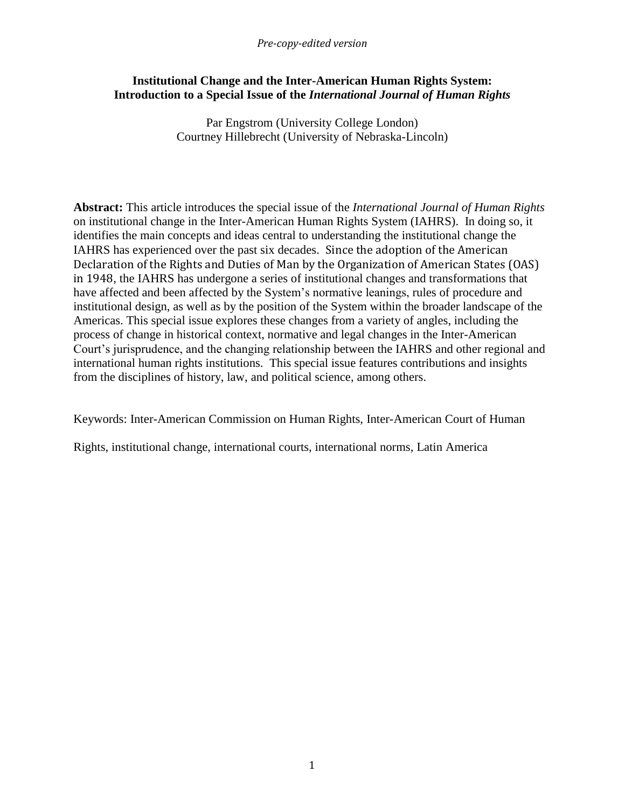# **Institutional Change and the Inter-American Human Rights System: Introduction to a Special Issue of the** *International Journal of Human Rights*

Par Engstrom (University College London) Courtney Hillebrecht (University of Nebraska-Lincoln)

**Abstract:** This article introduces the special issue of the *International Journal of Human Rights*  on institutional change in the Inter-American Human Rights System (IAHRS). In doing so, it identifies the main concepts and ideas central to understanding the institutional change the IAHRS has experienced over the past six decades. Since the adoption of the American Declaration of the Rights and Duties of Man by the Organization of American States (OAS) in 1948, the IAHRS has undergone a series of institutional changes and transformations that have affected and been affected by the System's normative leanings, rules of procedure and institutional design, as well as by the position of the System within the broader landscape of the Americas. This special issue explores these changes from a variety of angles, including the process of change in historical context, normative and legal changes in the Inter-American Court's jurisprudence, and the changing relationship between the IAHRS and other regional and international human rights institutions. This special issue features contributions and insights from the disciplines of history, law, and political science, among others.

Keywords: Inter-American Commission on Human Rights, Inter-American Court of Human

Rights, institutional change, international courts, international norms, Latin America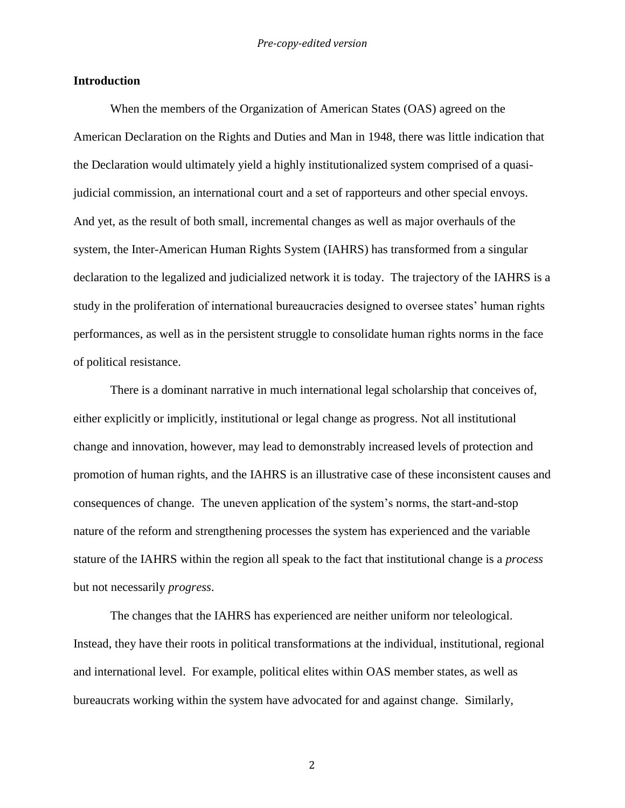# **Introduction**

When the members of the Organization of American States (OAS) agreed on the American Declaration on the Rights and Duties and Man in 1948, there was little indication that the Declaration would ultimately yield a highly institutionalized system comprised of a quasijudicial commission, an international court and a set of rapporteurs and other special envoys. And yet, as the result of both small, incremental changes as well as major overhauls of the system, the Inter-American Human Rights System (IAHRS) has transformed from a singular declaration to the legalized and judicialized network it is today. The trajectory of the IAHRS is a study in the proliferation of international bureaucracies designed to oversee states' human rights performances, as well as in the persistent struggle to consolidate human rights norms in the face of political resistance.

There is a dominant narrative in much international legal scholarship that conceives of, either explicitly or implicitly, institutional or legal change as progress. Not all institutional change and innovation, however, may lead to demonstrably increased levels of protection and promotion of human rights, and the IAHRS is an illustrative case of these inconsistent causes and consequences of change. The uneven application of the system's norms, the start-and-stop nature of the reform and strengthening processes the system has experienced and the variable stature of the IAHRS within the region all speak to the fact that institutional change is a *process* but not necessarily *progress*.

The changes that the IAHRS has experienced are neither uniform nor teleological. Instead, they have their roots in political transformations at the individual, institutional, regional and international level. For example, political elites within OAS member states, as well as bureaucrats working within the system have advocated for and against change. Similarly,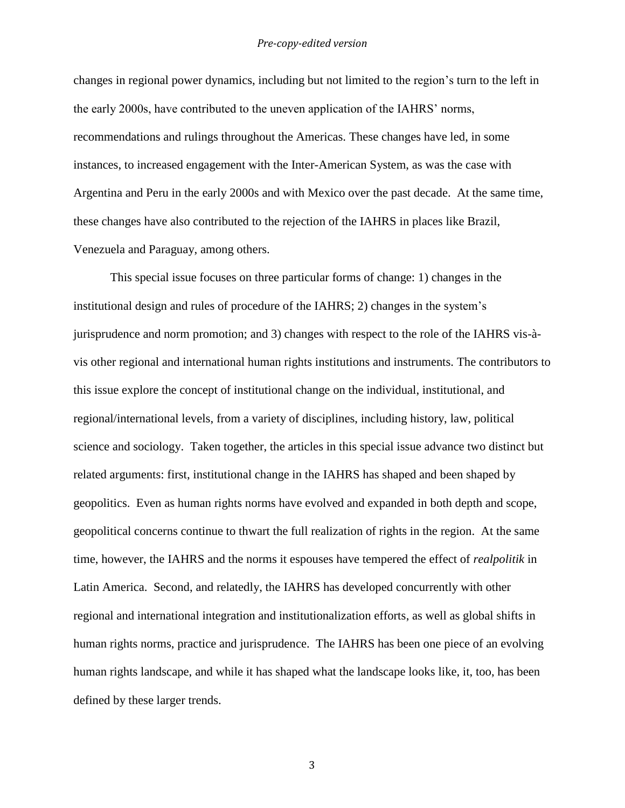changes in regional power dynamics, including but not limited to the region's turn to the left in the early 2000s, have contributed to the uneven application of the IAHRS' norms, recommendations and rulings throughout the Americas. These changes have led, in some instances, to increased engagement with the Inter-American System, as was the case with Argentina and Peru in the early 2000s and with Mexico over the past decade. At the same time, these changes have also contributed to the rejection of the IAHRS in places like Brazil, Venezuela and Paraguay, among others.

This special issue focuses on three particular forms of change: 1) changes in the institutional design and rules of procedure of the IAHRS; 2) changes in the system's jurisprudence and norm promotion; and 3) changes with respect to the role of the IAHRS vis-àvis other regional and international human rights institutions and instruments. The contributors to this issue explore the concept of institutional change on the individual, institutional, and regional/international levels, from a variety of disciplines, including history, law, political science and sociology. Taken together, the articles in this special issue advance two distinct but related arguments: first, institutional change in the IAHRS has shaped and been shaped by geopolitics. Even as human rights norms have evolved and expanded in both depth and scope, geopolitical concerns continue to thwart the full realization of rights in the region. At the same time, however, the IAHRS and the norms it espouses have tempered the effect of *realpolitik* in Latin America. Second, and relatedly, the IAHRS has developed concurrently with other regional and international integration and institutionalization efforts, as well as global shifts in human rights norms, practice and jurisprudence. The IAHRS has been one piece of an evolving human rights landscape, and while it has shaped what the landscape looks like, it, too, has been defined by these larger trends.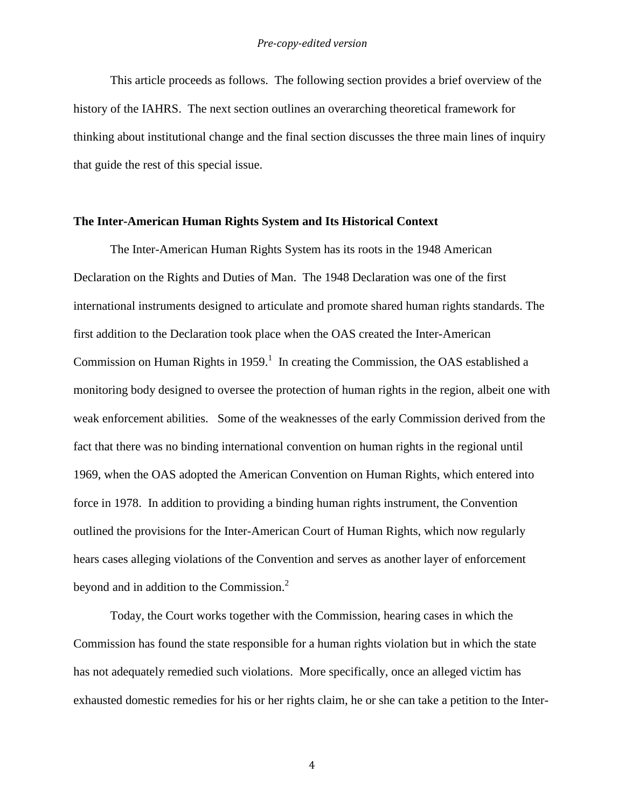This article proceeds as follows. The following section provides a brief overview of the history of the IAHRS. The next section outlines an overarching theoretical framework for thinking about institutional change and the final section discusses the three main lines of inquiry that guide the rest of this special issue.

# **The Inter-American Human Rights System and Its Historical Context**

The Inter-American Human Rights System has its roots in the 1948 American Declaration on the Rights and Duties of Man. The 1948 Declaration was one of the first international instruments designed to articulate and promote shared human rights standards. The first addition to the Declaration took place when the OAS created the Inter-American Commission on Human Rights in 1959.<sup>1</sup> In creating the Commission, the OAS established a monitoring body designed to oversee the protection of human rights in the region, albeit one with weak enforcement abilities. Some of the weaknesses of the early Commission derived from the fact that there was no binding international convention on human rights in the regional until 1969, when the OAS adopted the American Convention on Human Rights, which entered into force in 1978. In addition to providing a binding human rights instrument, the Convention outlined the provisions for the Inter-American Court of Human Rights, which now regularly hears cases alleging violations of the Convention and serves as another layer of enforcement beyond and in addition to the Commission. $2$ 

Today, the Court works together with the Commission, hearing cases in which the Commission has found the state responsible for a human rights violation but in which the state has not adequately remedied such violations. More specifically, once an alleged victim has exhausted domestic remedies for his or her rights claim, he or she can take a petition to the Inter-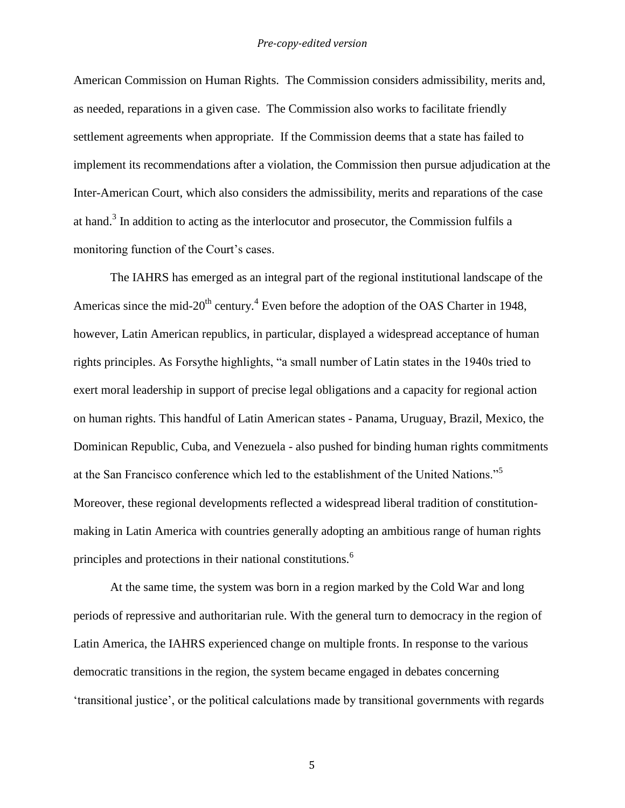American Commission on Human Rights. The Commission considers admissibility, merits and, as needed, reparations in a given case. The Commission also works to facilitate friendly settlement agreements when appropriate. If the Commission deems that a state has failed to implement its recommendations after a violation, the Commission then pursue adjudication at the Inter-American Court, which also considers the admissibility, merits and reparations of the case at hand. $3$  In addition to acting as the interlocutor and prosecutor, the Commission fulfils a monitoring function of the Court's cases.

The IAHRS has emerged as an integral part of the regional institutional landscape of the Americas since the mid-20<sup>th</sup> century.<sup>4</sup> Even before the adoption of the OAS Charter in 1948, however, Latin American republics, in particular, displayed a widespread acceptance of human rights principles. As Forsythe highlights, "a small number of Latin states in the 1940s tried to exert moral leadership in support of precise legal obligations and a capacity for regional action on human rights. This handful of Latin American states - Panama, Uruguay, Brazil, Mexico, the Dominican Republic, Cuba, and Venezuela - also pushed for binding human rights commitments at the San Francisco conference which led to the establishment of the United Nations."<sup>5</sup> Moreover, these regional developments reflected a widespread liberal tradition of constitutionmaking in Latin America with countries generally adopting an ambitious range of human rights principles and protections in their national constitutions.<sup>6</sup>

At the same time, the system was born in a region marked by the Cold War and long periods of repressive and authoritarian rule. With the general turn to democracy in the region of Latin America, the IAHRS experienced change on multiple fronts. In response to the various democratic transitions in the region, the system became engaged in debates concerning 'transitional justice', or the political calculations made by transitional governments with regards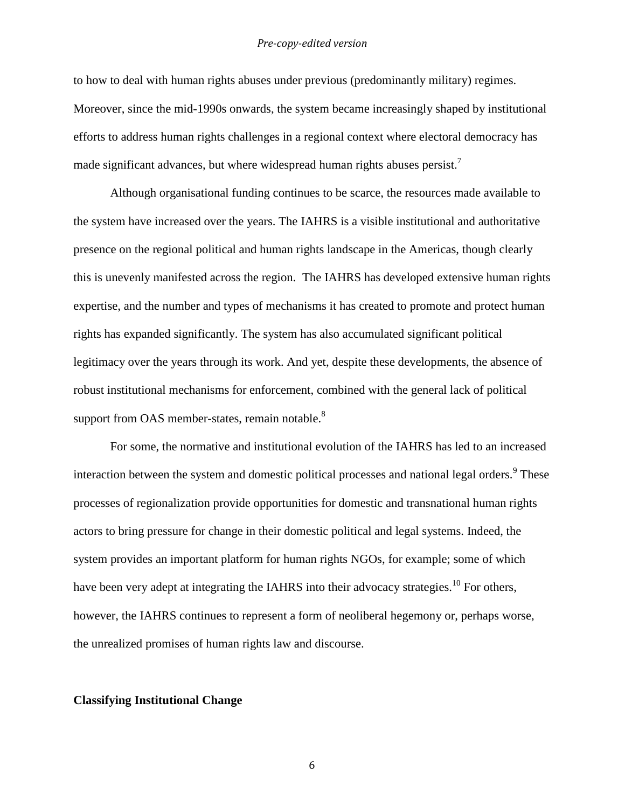to how to deal with human rights abuses under previous (predominantly military) regimes. Moreover, since the mid-1990s onwards, the system became increasingly shaped by institutional efforts to address human rights challenges in a regional context where electoral democracy has made significant advances, but where widespread human rights abuses persist.<sup>7</sup>

Although organisational funding continues to be scarce, the resources made available to the system have increased over the years. The IAHRS is a visible institutional and authoritative presence on the regional political and human rights landscape in the Americas, though clearly this is unevenly manifested across the region. The IAHRS has developed extensive human rights expertise, and the number and types of mechanisms it has created to promote and protect human rights has expanded significantly. The system has also accumulated significant political legitimacy over the years through its work. And yet, despite these developments, the absence of robust institutional mechanisms for enforcement, combined with the general lack of political support from OAS member-states, remain notable.<sup>8</sup>

For some, the normative and institutional evolution of the IAHRS has led to an increased interaction between the system and domestic political processes and national legal orders.<sup>9</sup> These processes of regionalization provide opportunities for domestic and transnational human rights actors to bring pressure for change in their domestic political and legal systems. Indeed, the system provides an important platform for human rights NGOs, for example; some of which have been very adept at integrating the IAHRS into their advocacy strategies.<sup>10</sup> For others, however, the IAHRS continues to represent a form of neoliberal hegemony or, perhaps worse, the unrealized promises of human rights law and discourse.

# **Classifying Institutional Change**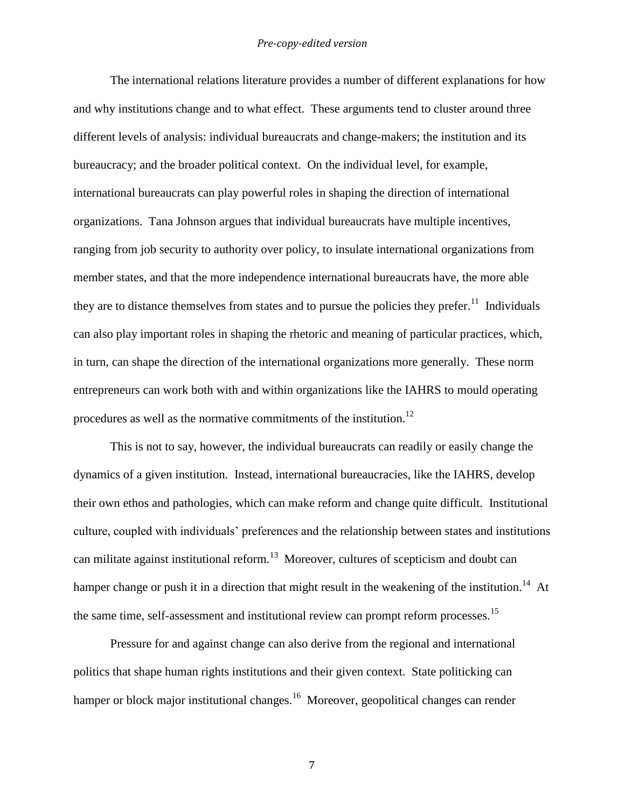The international relations literature provides a number of different explanations for how and why institutions change and to what effect. These arguments tend to cluster around three different levels of analysis: individual bureaucrats and change-makers; the institution and its bureaucracy; and the broader political context. On the individual level, for example, international bureaucrats can play powerful roles in shaping the direction of international organizations. Tana Johnson argues that individual bureaucrats have multiple incentives, ranging from job security to authority over policy, to insulate international organizations from member states, and that the more independence international bureaucrats have, the more able they are to distance themselves from states and to pursue the policies they prefer.<sup>11</sup> Individuals can also play important roles in shaping the rhetoric and meaning of particular practices, which, in turn, can shape the direction of the international organizations more generally. These norm entrepreneurs can work both with and within organizations like the IAHRS to mould operating procedures as well as the normative commitments of the institution.<sup>12</sup>

This is not to say, however, the individual bureaucrats can readily or easily change the dynamics of a given institution. Instead, international bureaucracies, like the IAHRS, develop their own ethos and pathologies, which can make reform and change quite difficult. Institutional culture, coupled with individuals' preferences and the relationship between states and institutions can militate against institutional reform.<sup>13</sup> Moreover, cultures of scepticism and doubt can hamper change or push it in a direction that might result in the weakening of the institution.<sup>14</sup> At the same time, self-assessment and institutional review can prompt reform processes.<sup>15</sup>

Pressure for and against change can also derive from the regional and international politics that shape human rights institutions and their given context. State politicking can hamper or block major institutional changes.<sup>16</sup> Moreover, geopolitical changes can render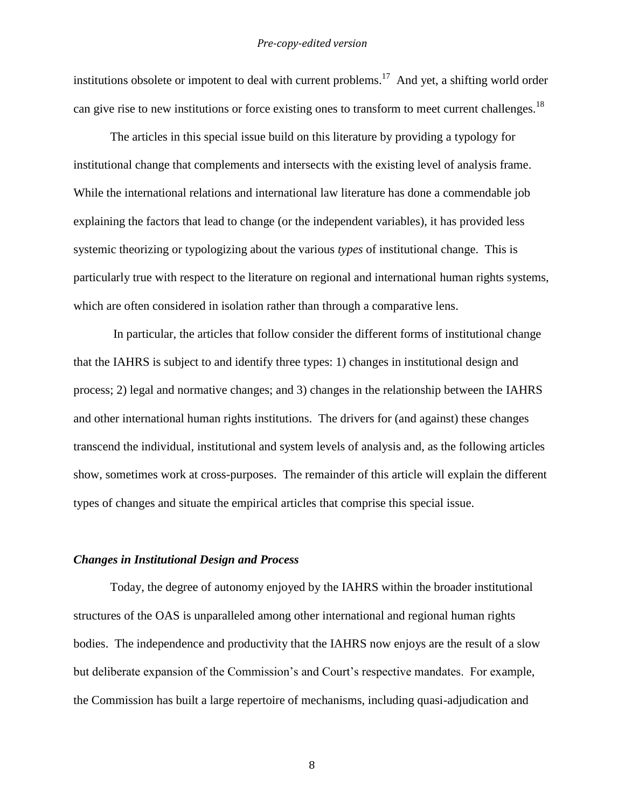institutions obsolete or impotent to deal with current problems.<sup>17</sup> And yet, a shifting world order can give rise to new institutions or force existing ones to transform to meet current challenges.<sup>18</sup>

The articles in this special issue build on this literature by providing a typology for institutional change that complements and intersects with the existing level of analysis frame. While the international relations and international law literature has done a commendable job explaining the factors that lead to change (or the independent variables), it has provided less systemic theorizing or typologizing about the various *types* of institutional change. This is particularly true with respect to the literature on regional and international human rights systems, which are often considered in isolation rather than through a comparative lens.

In particular, the articles that follow consider the different forms of institutional change that the IAHRS is subject to and identify three types: 1) changes in institutional design and process; 2) legal and normative changes; and 3) changes in the relationship between the IAHRS and other international human rights institutions. The drivers for (and against) these changes transcend the individual, institutional and system levels of analysis and, as the following articles show, sometimes work at cross-purposes. The remainder of this article will explain the different types of changes and situate the empirical articles that comprise this special issue.

# *Changes in Institutional Design and Process*

Today, the degree of autonomy enjoyed by the IAHRS within the broader institutional structures of the OAS is unparalleled among other international and regional human rights bodies. The independence and productivity that the IAHRS now enjoys are the result of a slow but deliberate expansion of the Commission's and Court's respective mandates. For example, the Commission has built a large repertoire of mechanisms, including quasi-adjudication and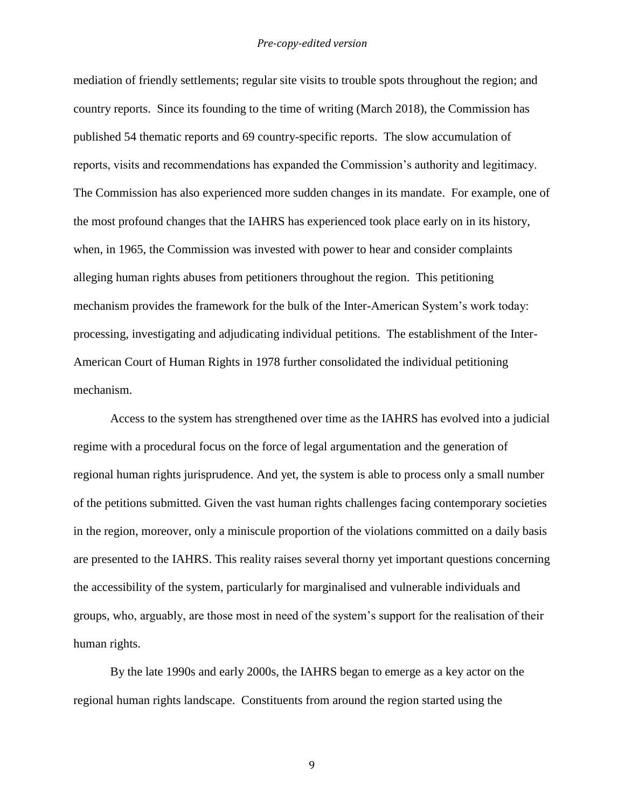mediation of friendly settlements; regular site visits to trouble spots throughout the region; and country reports. Since its founding to the time of writing (March 2018), the Commission has published 54 thematic reports and 69 country-specific reports. The slow accumulation of reports, visits and recommendations has expanded the Commission's authority and legitimacy. The Commission has also experienced more sudden changes in its mandate. For example, one of the most profound changes that the IAHRS has experienced took place early on in its history, when, in 1965, the Commission was invested with power to hear and consider complaints alleging human rights abuses from petitioners throughout the region. This petitioning mechanism provides the framework for the bulk of the Inter-American System's work today: processing, investigating and adjudicating individual petitions. The establishment of the Inter-American Court of Human Rights in 1978 further consolidated the individual petitioning mechanism.

Access to the system has strengthened over time as the IAHRS has evolved into a judicial regime with a procedural focus on the force of legal argumentation and the generation of regional human rights jurisprudence. And yet, the system is able to process only a small number of the petitions submitted. Given the vast human rights challenges facing contemporary societies in the region, moreover, only a miniscule proportion of the violations committed on a daily basis are presented to the IAHRS. This reality raises several thorny yet important questions concerning the accessibility of the system, particularly for marginalised and vulnerable individuals and groups, who, arguably, are those most in need of the system's support for the realisation of their human rights.

By the late 1990s and early 2000s, the IAHRS began to emerge as a key actor on the regional human rights landscape. Constituents from around the region started using the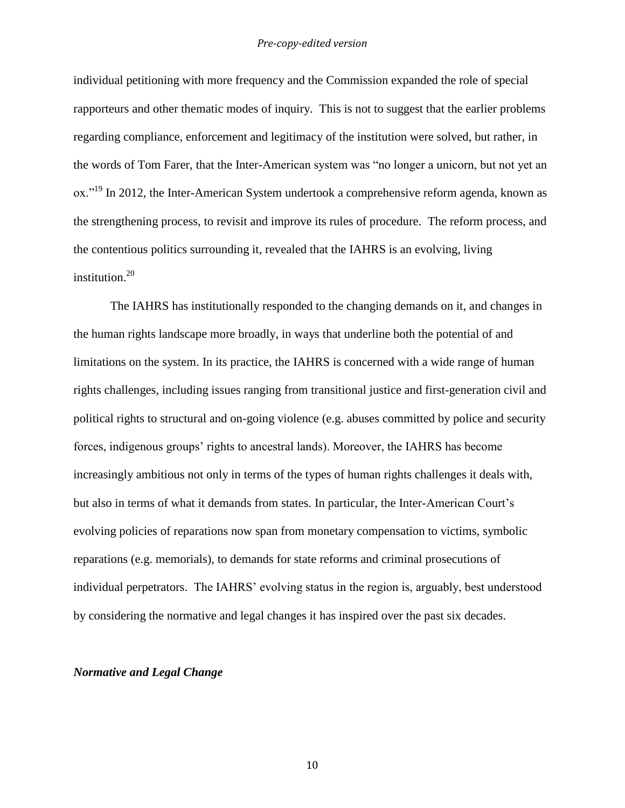individual petitioning with more frequency and the Commission expanded the role of special rapporteurs and other thematic modes of inquiry. This is not to suggest that the earlier problems regarding compliance, enforcement and legitimacy of the institution were solved, but rather, in the words of Tom Farer, that the Inter-American system was "no longer a unicorn, but not yet an ox."<sup>19</sup> In 2012, the Inter-American System undertook a comprehensive reform agenda, known as the strengthening process, to revisit and improve its rules of procedure. The reform process, and the contentious politics surrounding it, revealed that the IAHRS is an evolving, living institution.<sup>20</sup>

The IAHRS has institutionally responded to the changing demands on it, and changes in the human rights landscape more broadly, in ways that underline both the potential of and limitations on the system. In its practice, the IAHRS is concerned with a wide range of human rights challenges, including issues ranging from transitional justice and first-generation civil and political rights to structural and on-going violence (e.g. abuses committed by police and security forces, indigenous groups' rights to ancestral lands). Moreover, the IAHRS has become increasingly ambitious not only in terms of the types of human rights challenges it deals with, but also in terms of what it demands from states. In particular, the Inter-American Court's evolving policies of reparations now span from monetary compensation to victims, symbolic reparations (e.g. memorials), to demands for state reforms and criminal prosecutions of individual perpetrators. The IAHRS' evolving status in the region is, arguably, best understood by considering the normative and legal changes it has inspired over the past six decades.

## *Normative and Legal Change*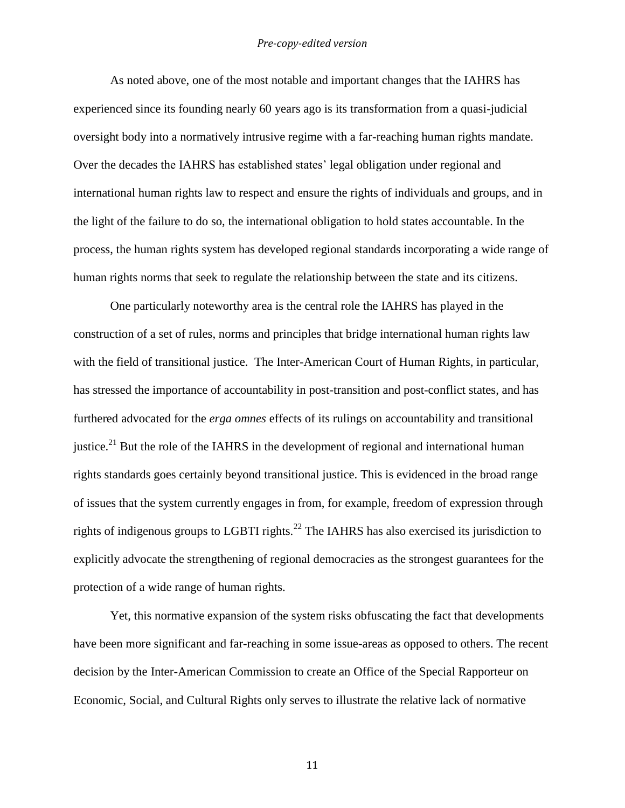As noted above, one of the most notable and important changes that the IAHRS has experienced since its founding nearly 60 years ago is its transformation from a quasi-judicial oversight body into a normatively intrusive regime with a far-reaching human rights mandate. Over the decades the IAHRS has established states' legal obligation under regional and international human rights law to respect and ensure the rights of individuals and groups, and in the light of the failure to do so, the international obligation to hold states accountable. In the process, the human rights system has developed regional standards incorporating a wide range of human rights norms that seek to regulate the relationship between the state and its citizens.

One particularly noteworthy area is the central role the IAHRS has played in the construction of a set of rules, norms and principles that bridge international human rights law with the field of transitional justice. The Inter-American Court of Human Rights, in particular, has stressed the importance of accountability in post-transition and post-conflict states, and has furthered advocated for the *erga omnes* effects of its rulings on accountability and transitional justice.<sup>21</sup> But the role of the IAHRS in the development of regional and international human rights standards goes certainly beyond transitional justice. This is evidenced in the broad range of issues that the system currently engages in from, for example, freedom of expression through rights of indigenous groups to LGBTI rights.<sup>22</sup> The IAHRS has also exercised its jurisdiction to explicitly advocate the strengthening of regional democracies as the strongest guarantees for the protection of a wide range of human rights.

Yet, this normative expansion of the system risks obfuscating the fact that developments have been more significant and far-reaching in some issue-areas as opposed to others. The recent decision by the Inter-American Commission to create an Office of the Special Rapporteur on Economic, Social, and Cultural Rights only serves to illustrate the relative lack of normative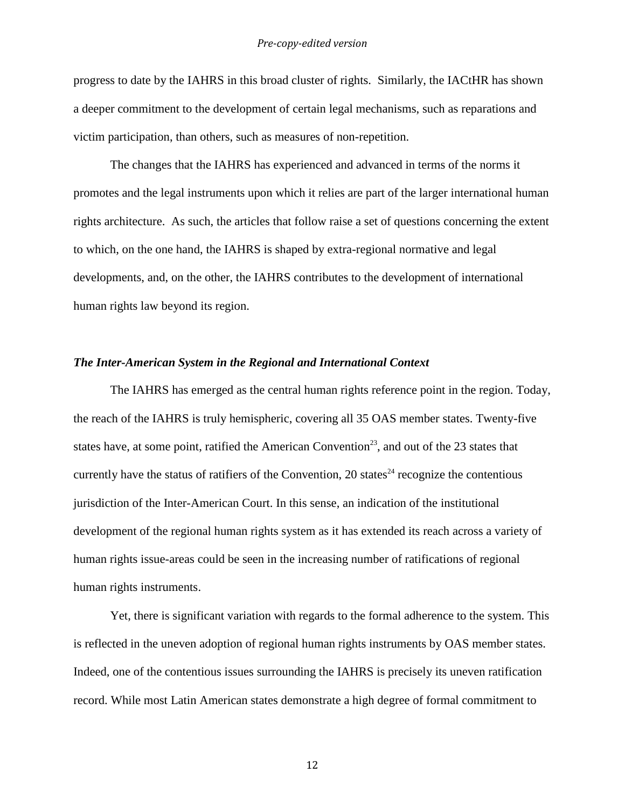progress to date by the IAHRS in this broad cluster of rights. Similarly, the IACtHR has shown a deeper commitment to the development of certain legal mechanisms, such as reparations and victim participation, than others, such as measures of non-repetition.

The changes that the IAHRS has experienced and advanced in terms of the norms it promotes and the legal instruments upon which it relies are part of the larger international human rights architecture. As such, the articles that follow raise a set of questions concerning the extent to which, on the one hand, the IAHRS is shaped by extra-regional normative and legal developments, and, on the other, the IAHRS contributes to the development of international human rights law beyond its region.

# *The Inter-American System in the Regional and International Context*

The IAHRS has emerged as the central human rights reference point in the region. Today, the reach of the IAHRS is truly hemispheric, covering all 35 OAS member states. Twenty-five states have, at some point, ratified the American Convention<sup>23</sup>, and out of the 23 states that currently have the status of ratifiers of the Convention, 20 states $^{24}$  recognize the contentious jurisdiction of the Inter-American Court. In this sense, an indication of the institutional development of the regional human rights system as it has extended its reach across a variety of human rights issue-areas could be seen in the increasing number of ratifications of regional human rights instruments.

Yet, there is significant variation with regards to the formal adherence to the system. This is reflected in the uneven adoption of regional human rights instruments by OAS member states. Indeed, one of the contentious issues surrounding the IAHRS is precisely its uneven ratification record. While most Latin American states demonstrate a high degree of formal commitment to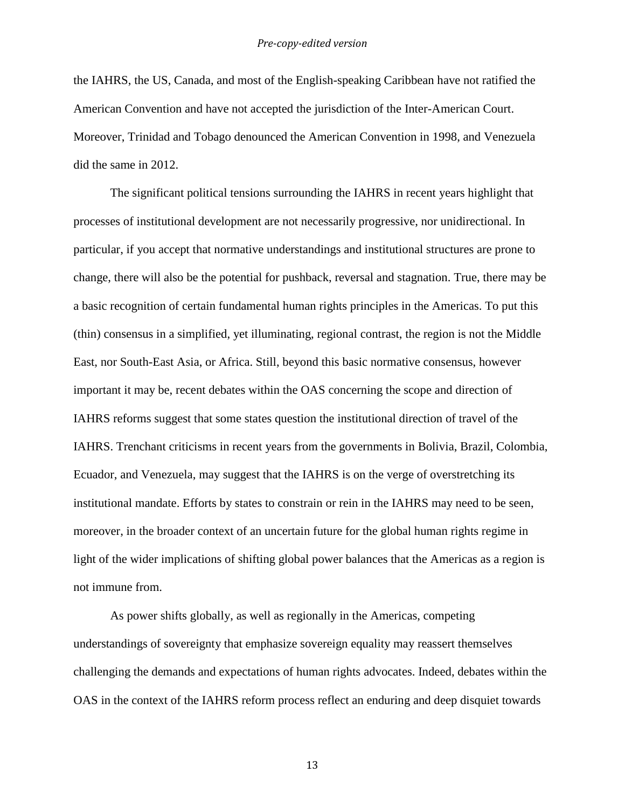the IAHRS, the US, Canada, and most of the English-speaking Caribbean have not ratified the American Convention and have not accepted the jurisdiction of the Inter-American Court. Moreover, Trinidad and Tobago denounced the American Convention in 1998, and Venezuela did the same in 2012.

The significant political tensions surrounding the IAHRS in recent years highlight that processes of institutional development are not necessarily progressive, nor unidirectional. In particular, if you accept that normative understandings and institutional structures are prone to change, there will also be the potential for pushback, reversal and stagnation. True, there may be a basic recognition of certain fundamental human rights principles in the Americas. To put this (thin) consensus in a simplified, yet illuminating, regional contrast, the region is not the Middle East, nor South-East Asia, or Africa. Still, beyond this basic normative consensus, however important it may be, recent debates within the OAS concerning the scope and direction of IAHRS reforms suggest that some states question the institutional direction of travel of the IAHRS. Trenchant criticisms in recent years from the governments in Bolivia, Brazil, Colombia, Ecuador, and Venezuela, may suggest that the IAHRS is on the verge of overstretching its institutional mandate. Efforts by states to constrain or rein in the IAHRS may need to be seen, moreover, in the broader context of an uncertain future for the global human rights regime in light of the wider implications of shifting global power balances that the Americas as a region is not immune from.

As power shifts globally, as well as regionally in the Americas, competing understandings of sovereignty that emphasize sovereign equality may reassert themselves challenging the demands and expectations of human rights advocates. Indeed, debates within the OAS in the context of the IAHRS reform process reflect an enduring and deep disquiet towards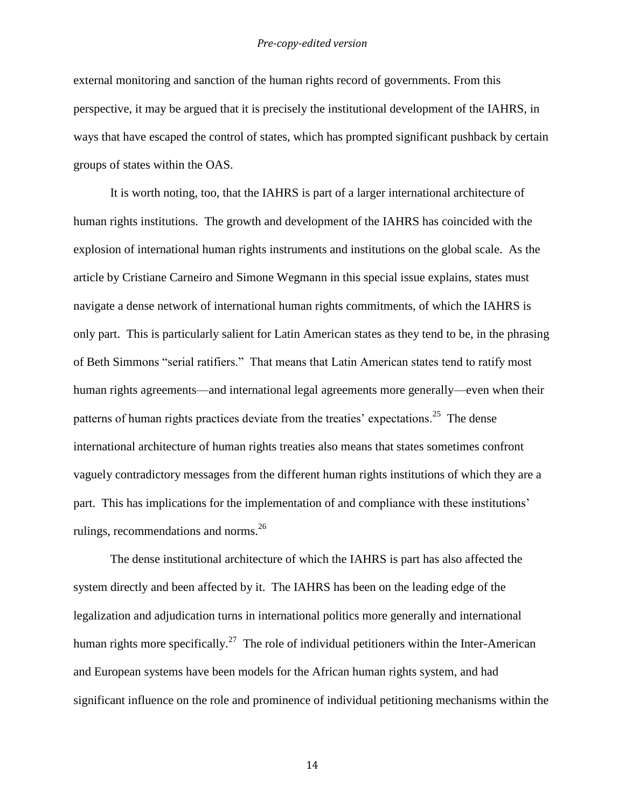external monitoring and sanction of the human rights record of governments. From this perspective, it may be argued that it is precisely the institutional development of the IAHRS, in ways that have escaped the control of states, which has prompted significant pushback by certain groups of states within the OAS.

It is worth noting, too, that the IAHRS is part of a larger international architecture of human rights institutions. The growth and development of the IAHRS has coincided with the explosion of international human rights instruments and institutions on the global scale. As the article by Cristiane Carneiro and Simone Wegmann in this special issue explains, states must navigate a dense network of international human rights commitments, of which the IAHRS is only part. This is particularly salient for Latin American states as they tend to be, in the phrasing of Beth Simmons "serial ratifiers." That means that Latin American states tend to ratify most human rights agreements—and international legal agreements more generally—even when their patterns of human rights practices deviate from the treaties' expectations.<sup>25</sup> The dense international architecture of human rights treaties also means that states sometimes confront vaguely contradictory messages from the different human rights institutions of which they are a part. This has implications for the implementation of and compliance with these institutions' rulings, recommendations and norms. $^{26}$ 

The dense institutional architecture of which the IAHRS is part has also affected the system directly and been affected by it. The IAHRS has been on the leading edge of the legalization and adjudication turns in international politics more generally and international human rights more specifically.<sup>27</sup> The role of individual petitioners within the Inter-American and European systems have been models for the African human rights system, and had significant influence on the role and prominence of individual petitioning mechanisms within the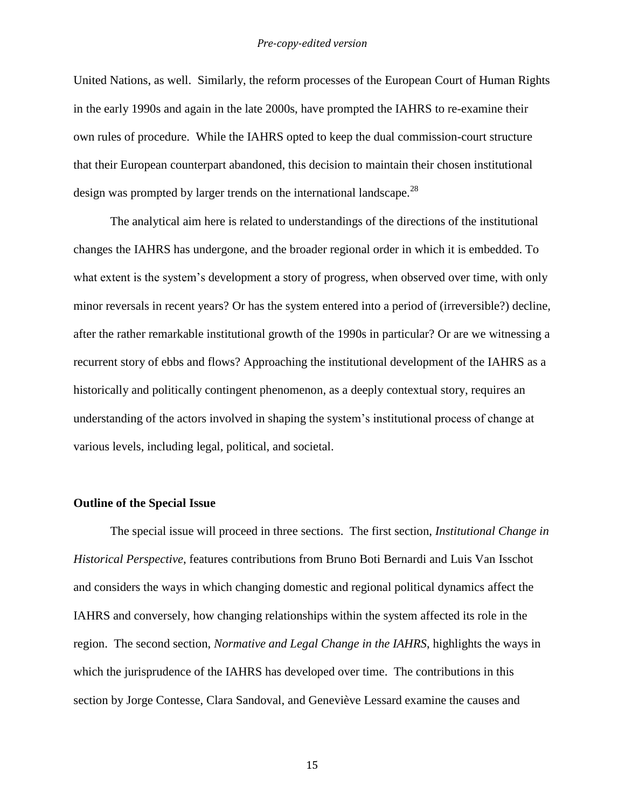United Nations, as well. Similarly, the reform processes of the European Court of Human Rights in the early 1990s and again in the late 2000s, have prompted the IAHRS to re-examine their own rules of procedure. While the IAHRS opted to keep the dual commission-court structure that their European counterpart abandoned, this decision to maintain their chosen institutional design was prompted by larger trends on the international landscape.<sup>28</sup>

The analytical aim here is related to understandings of the directions of the institutional changes the IAHRS has undergone, and the broader regional order in which it is embedded. To what extent is the system's development a story of progress, when observed over time, with only minor reversals in recent years? Or has the system entered into a period of (irreversible?) decline, after the rather remarkable institutional growth of the 1990s in particular? Or are we witnessing a recurrent story of ebbs and flows? Approaching the institutional development of the IAHRS as a historically and politically contingent phenomenon, as a deeply contextual story, requires an understanding of the actors involved in shaping the system's institutional process of change at various levels, including legal, political, and societal.

# **Outline of the Special Issue**

The special issue will proceed in three sections. The first section, *Institutional Change in Historical Perspective*, features contributions from Bruno Boti Bernardi and Luis Van Isschot and considers the ways in which changing domestic and regional political dynamics affect the IAHRS and conversely, how changing relationships within the system affected its role in the region. The second section, *Normative and Legal Change in the IAHRS*, highlights the ways in which the jurisprudence of the IAHRS has developed over time. The contributions in this section by Jorge Contesse, Clara Sandoval, and Geneviève Lessard examine the causes and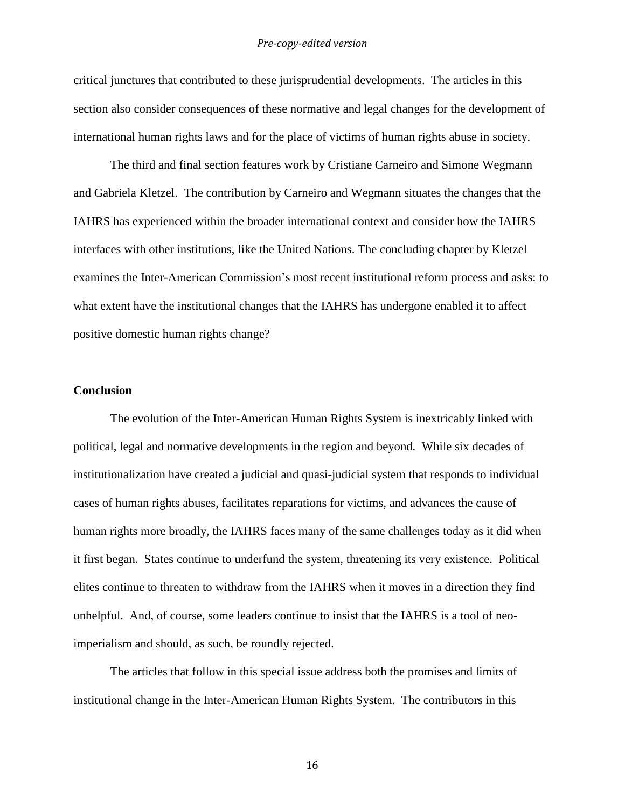critical junctures that contributed to these jurisprudential developments. The articles in this section also consider consequences of these normative and legal changes for the development of international human rights laws and for the place of victims of human rights abuse in society.

The third and final section features work by Cristiane Carneiro and Simone Wegmann and Gabriela Kletzel. The contribution by Carneiro and Wegmann situates the changes that the IAHRS has experienced within the broader international context and consider how the IAHRS interfaces with other institutions, like the United Nations. The concluding chapter by Kletzel examines the Inter-American Commission's most recent institutional reform process and asks: to what extent have the institutional changes that the IAHRS has undergone enabled it to affect positive domestic human rights change?

# **Conclusion**

The evolution of the Inter-American Human Rights System is inextricably linked with political, legal and normative developments in the region and beyond. While six decades of institutionalization have created a judicial and quasi-judicial system that responds to individual cases of human rights abuses, facilitates reparations for victims, and advances the cause of human rights more broadly, the IAHRS faces many of the same challenges today as it did when it first began. States continue to underfund the system, threatening its very existence. Political elites continue to threaten to withdraw from the IAHRS when it moves in a direction they find unhelpful. And, of course, some leaders continue to insist that the IAHRS is a tool of neoimperialism and should, as such, be roundly rejected.

The articles that follow in this special issue address both the promises and limits of institutional change in the Inter-American Human Rights System. The contributors in this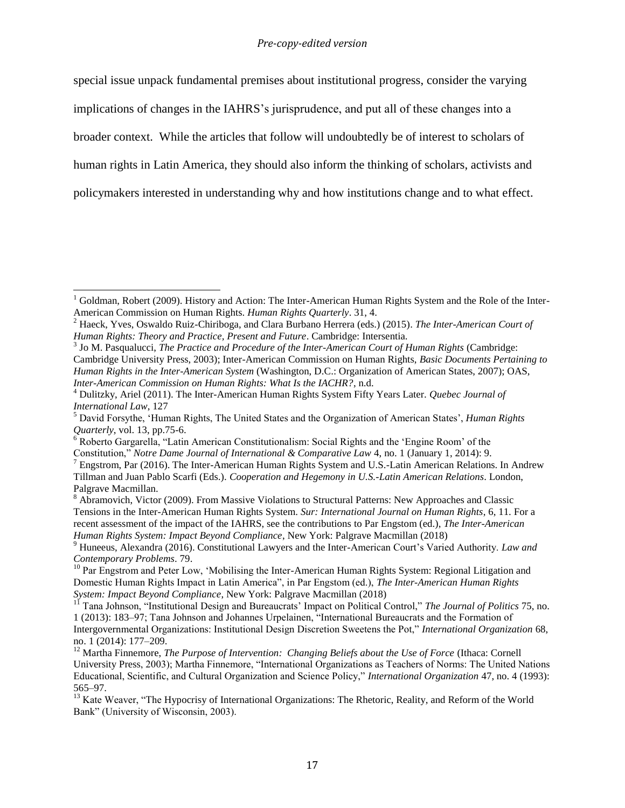special issue unpack fundamental premises about institutional progress, consider the varying implications of changes in the IAHRS's jurisprudence, and put all of these changes into a broader context. While the articles that follow will undoubtedly be of interest to scholars of human rights in Latin America, they should also inform the thinking of scholars, activists and policymakers interested in understanding why and how institutions change and to what effect.

l

<sup>1</sup> Goldman, Robert (2009). History and Action: The Inter-American Human Rights System and the Role of the Inter-American Commission on Human Rights. *Human Rights Quarterly*. 31, 4.

<sup>2</sup> Haeck, Yves, Oswaldo Ruiz-Chiriboga, and Clara Burbano Herrera (eds.) (2015). *The Inter-American Court of Human Rights: Theory and Practice, Present and Future*. Cambridge: Intersentia.

<sup>3</sup> Jo M. Pasqualucci, *The Practice and Procedure of the Inter-American Court of Human Rights* (Cambridge: Cambridge University Press, 2003); Inter-American Commission on Human Rights, *Basic Documents Pertaining to Human Rights in the Inter-American System* (Washington, D.C.: Organization of American States, 2007); OAS, *Inter-American Commission on Human Rights: What Is the IACHR?*, n.d.

<sup>4</sup> Dulitzky, Ariel (2011). The Inter-American Human Rights System Fifty Years Later. *Quebec Journal of International Law*, 127

<sup>5</sup> David Forsythe, 'Human Rights, The United States and the Organization of American States', *Human Rights Quarterly*, vol. 13, pp.75-6.

<sup>6</sup> Roberto Gargarella, "Latin American Constitutionalism: Social Rights and the 'Engine Room' of the Constitution," *Notre Dame Journal of International & Comparative Law* 4, no. 1 (January 1, 2014): 9.

<sup>&</sup>lt;sup>7</sup> Engstrom, Par (2016). The Inter-American Human Rights System and U.S.-Latin American Relations. In Andrew Tillman and Juan Pablo Scarfi (Eds.). *Cooperation and Hegemony in U.S.-Latin American Relations*. London, Palgrave Macmillan.

<sup>&</sup>lt;sup>8</sup> Abramovich, Victor (2009). From Massive Violations to Structural Patterns: New Approaches and Classic Tensions in the Inter-American Human Rights System. *Sur: International Journal on Human Rights*, 6, 11. For a recent assessment of the impact of the IAHRS, see the contributions to Par Engstom (ed.), *The Inter-American Human Rights System: Impact Beyond Compliance*, New York: Palgrave Macmillan (2018)

<sup>9</sup> Huneeus, Alexandra (2016). Constitutional Lawyers and the Inter-American Court's Varied Authority. *Law and Contemporary Problems*. 79.

 $10$  Par Engstrom and Peter Low, 'Mobilising the Inter-American Human Rights System: Regional Litigation and Domestic Human Rights Impact in Latin America", in Par Engstom (ed.), *The Inter-American Human Rights System: Impact Beyond Compliance*, New York: Palgrave Macmillan (2018)

<sup>&</sup>lt;sup>11</sup> Tana Johnson, "Institutional Design and Bureaucrats' Impact on Political Control," *The Journal of Politics* 75, no. 1 (2013): 183–97; Tana Johnson and Johannes Urpelainen, "International Bureaucrats and the Formation of Intergovernmental Organizations: Institutional Design Discretion Sweetens the Pot," *International Organization* 68, no. 1 (2014): 177–209.

<sup>12</sup> Martha Finnemore, *The Purpose of Intervention: Changing Beliefs about the Use of Force* (Ithaca: Cornell University Press, 2003); Martha Finnemore, "International Organizations as Teachers of Norms: The United Nations Educational, Scientific, and Cultural Organization and Science Policy," *International Organization* 47, no. 4 (1993): 565–97.

<sup>&</sup>lt;sup>13</sup> Kate Weaver, "The Hypocrisy of International Organizations: The Rhetoric, Reality, and Reform of the World Bank" (University of Wisconsin, 2003).